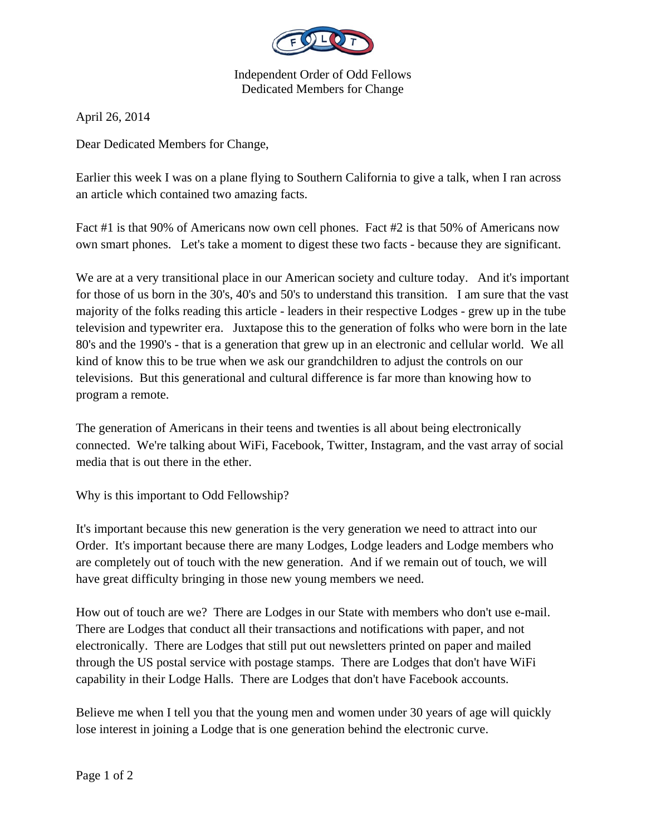

Independent Order of Odd Fellows Dedicated Members for Change

April 26, 2014

Dear Dedicated Members for Change,

Earlier this week I was on a plane flying to Southern California to give a talk, when I ran across an article which contained two amazing facts.

Fact #1 is that 90% of Americans now own cell phones. Fact #2 is that 50% of Americans now own smart phones. Let's take a moment to digest these two facts - because they are significant.

We are at a very transitional place in our American society and culture today. And it's important for those of us born in the 30's, 40's and 50's to understand this transition. I am sure that the vast majority of the folks reading this article - leaders in their respective Lodges - grew up in the tube television and typewriter era. Juxtapose this to the generation of folks who were born in the late 80's and the 1990's - that is a generation that grew up in an electronic and cellular world. We all kind of know this to be true when we ask our grandchildren to adjust the controls on our televisions. But this generational and cultural difference is far more than knowing how to program a remote.

The generation of Americans in their teens and twenties is all about being electronically connected. We're talking about WiFi, Facebook, Twitter, Instagram, and the vast array of social media that is out there in the ether.

Why is this important to Odd Fellowship?

It's important because this new generation is the very generation we need to attract into our Order. It's important because there are many Lodges, Lodge leaders and Lodge members who are completely out of touch with the new generation. And if we remain out of touch, we will have great difficulty bringing in those new young members we need.

How out of touch are we? There are Lodges in our State with members who don't use e-mail. There are Lodges that conduct all their transactions and notifications with paper, and not electronically. There are Lodges that still put out newsletters printed on paper and mailed through the US postal service with postage stamps. There are Lodges that don't have WiFi capability in their Lodge Halls. There are Lodges that don't have Facebook accounts.

Believe me when I tell you that the young men and women under 30 years of age will quickly lose interest in joining a Lodge that is one generation behind the electronic curve.